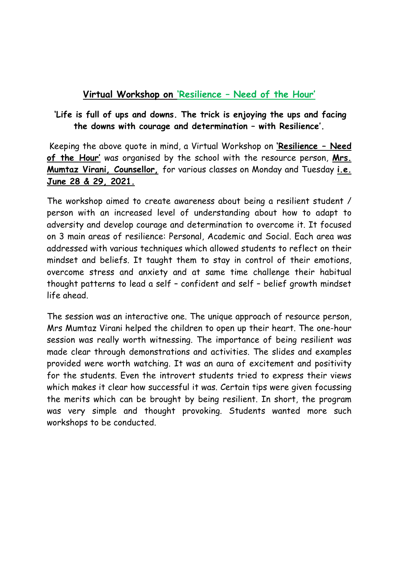## **Virtual Workshop on 'Resilience – Need of the Hour'**

## **'Life is full of ups and downs. The trick is enjoying the ups and facing the downs with courage and determination – with Resilience'.**

Keeping the above quote in mind, a Virtual Workshop on **'Resilience – Need of the Hour'** was organised by the school with the resource person, **Mrs. Mumtaz Virani, Counsellor,** for various classes on Monday and Tuesday **i.e. June 28 & 29, 2021.**

The workshop aimed to create awareness about being a resilient student / person with an increased level of understanding about how to adapt to adversity and develop courage and determination to overcome it. It focused on 3 main areas of resilience: Personal, Academic and Social. Each area was addressed with various techniques which allowed students to reflect on their mindset and beliefs. It taught them to stay in control of their emotions, overcome stress and anxiety and at same time challenge their habitual thought patterns to lead a self – confident and self – belief growth mindset life ahead.

The session was an interactive one. The unique approach of resource person, Mrs Mumtaz Virani helped the children to open up their heart. The one-hour session was really worth witnessing. The importance of being resilient was made clear through demonstrations and activities. The slides and examples provided were worth watching. It was an aura of excitement and positivity for the students. Even the introvert students tried to express their views which makes it clear how successful it was. Certain tips were given focussing the merits which can be brought by being resilient. In short, the program was very simple and thought provoking. Students wanted more such workshops to be conducted.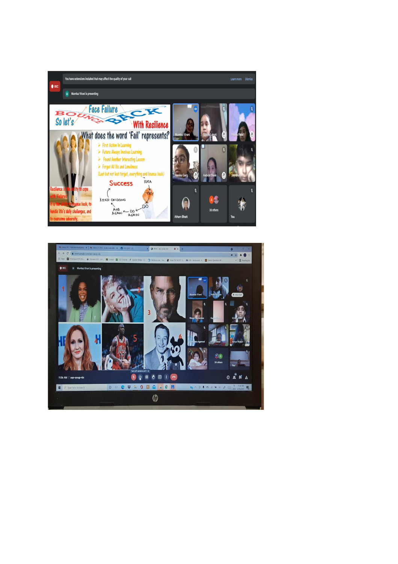

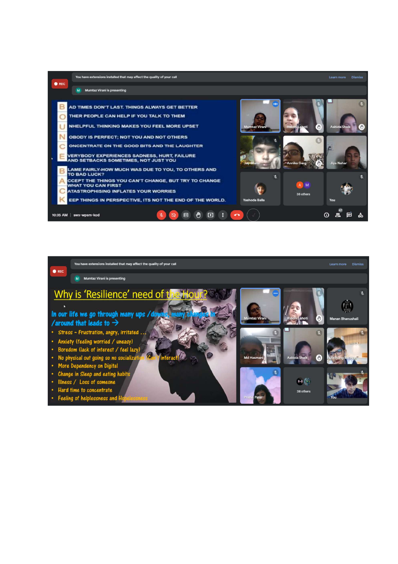| <b>OREC</b>             | You have extensions installed that may affect the quality of your call |                                                                                                                                                                                                                                                                                                                                    |               |  |           |   |                               |                                            |     | Learn more                               | <b>Dismiss</b> |
|-------------------------|------------------------------------------------------------------------|------------------------------------------------------------------------------------------------------------------------------------------------------------------------------------------------------------------------------------------------------------------------------------------------------------------------------------|---------------|--|-----------|---|-------------------------------|--------------------------------------------|-----|------------------------------------------|----------------|
|                         | <b>Mumtaz Virani is presenting</b><br>M                                |                                                                                                                                                                                                                                                                                                                                    |               |  |           |   |                               |                                            |     |                                          |                |
|                         |                                                                        | AD TIMES DON'T LAST. THINGS ALWAYS GET BETTER<br>THER PEOPLE CAN HELP IF YOU TALK TO THEM<br>NHELPFUL THINKING MAKES YOU FEEL MORE UPSET<br>OBODY IS PERFECT; NOT YOU AND NOT OTHERS<br>ONCENTRATE ON THE GOOD BITS AND THE LAUGHTER<br><b>VERYBODY EXPERIENCES SADNESS, HURT, FAILURE</b><br>AND SETBACKS SOMETIMES, NOT JUST YOU |               |  |           |   | <b>Mumtaz Virani</b><br>Jay B | <b>Riddhi Laboti</b><br><b>Annika Garg</b> |     | <b>Aabida Shaik</b><br><b>Jiya Nahar</b> |                |
|                         |                                                                        | LAME FAIRLY-HOW MUCH WAS DUE TO YOU, TO OTHERS AND<br>TO BAD LUCK?<br>CCEPT THE THINGS YOU CAN'T CHANGE, BUT TRY TO CHANGE<br><b>WHAT YOU CAN FIRST</b><br><b>ATASTROPHISING INFLATES YOUR WORRIES</b><br>EEP THINGS IN PERSPECTIVE, ITS NOT THE END OF THE WORLD.                                                                 |               |  |           |   | y.<br><b>Yashoda Balla</b>    | A M<br>38 others                           | You |                                          |                |
| 10:35 AM   swx-wpsm-kod |                                                                        |                                                                                                                                                                                                                                                                                                                                    | ⊟<br>×.<br>N۰ |  | $\bullet$ | ឹ |                               |                                            | O   | 目<br>షి                                  | ᇷ              |